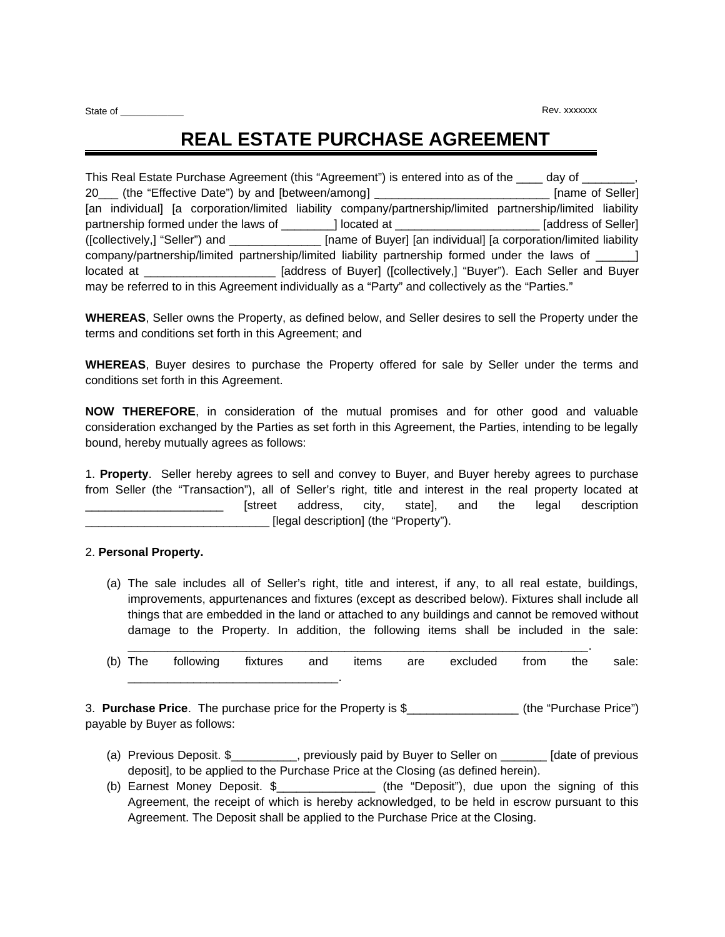# **REAL ESTATE PURCHASE AGREEMENT**

This Real Estate Purchase Agreement (this "Agreement") is entered into as of the \_\_\_\_ day of 20\_\_\_ (the "Effective Date") by and [between/among] \_\_\_\_\_\_\_\_\_\_\_\_\_\_\_\_\_\_\_\_\_\_\_\_\_\_\_\_\_ [name of Seller] [an individual] [a corporation/limited liability company/partnership/limited partnership/limited liability partnership formed under the laws of \_\_\_\_\_\_\_\_\_] located at \_\_\_\_\_\_\_\_\_\_\_\_\_\_\_\_\_\_\_\_\_\_\_\_\_ [address of Seller] ([collectively,] "Seller") and \_\_\_\_\_\_\_\_\_\_\_\_\_\_ [name of Buyer] [an individual] [a corporation/limited liability company/partnership/limited partnership/limited liability partnership formed under the laws of \_\_\_\_\_\_] located at <br> **Induces of Buyer** ([collectively,] "Buyer"). Each Seller and Buyer may be referred to in this Agreement individually as a "Party" and collectively as the "Parties."

**WHEREAS**, Seller owns the Property, as defined below, and Seller desires to sell the Property under the terms and conditions set forth in this Agreement; and

**WHEREAS**, Buyer desires to purchase the Property offered for sale by Seller under the terms and conditions set forth in this Agreement.

**NOW THEREFORE**, in consideration of the mutual promises and for other good and valuable consideration exchanged by the Parties as set forth in this Agreement, the Parties, intending to be legally bound, hereby mutually agrees as follows:

1. **Property**. Seller hereby agrees to sell and convey to Buyer, and Buyer hereby agrees to purchase from Seller (the "Transaction"), all of Seller's right, title and interest in the real property located at \_\_\_\_\_\_\_\_\_\_\_\_\_\_\_\_\_\_\_\_\_ [street address, city, state], and the legal description [legal description] (the "Property").

# 2. **Personal Property.**

(a) The sale includes all of Seller's right, title and interest, if any, to all real estate, buildings, improvements, appurtenances and fixtures (except as described below). Fixtures shall include all things that are embedded in the land or attached to any buildings and cannot be removed without damage to the Property. In addition, the following items shall be included in the sale:

| (b) The | following | fixtures and | items | are | excluded | from | the | sale: |
|---------|-----------|--------------|-------|-----|----------|------|-----|-------|
|         |           |              |       |     |          |      |     |       |

3. **Purchase Price**. The purchase price for the Property is \$\_\_\_\_\_\_\_\_\_\_\_\_\_\_\_\_\_ (the "Purchase Price") payable by Buyer as follows:

- (a) Previous Deposit. \$\_\_\_\_\_\_\_\_\_\_, previously paid by Buyer to Seller on \_\_\_\_\_\_\_ [date of previous deposit], to be applied to the Purchase Price at the Closing (as defined herein).
- (b) Earnest Money Deposit. \$\_\_\_\_\_\_\_\_\_\_\_\_\_\_\_ (the "Deposit"), due upon the signing of this Agreement, the receipt of which is hereby acknowledged, to be held in escrow pursuant to this Agreement. The Deposit shall be applied to the Purchase Price at the Closing.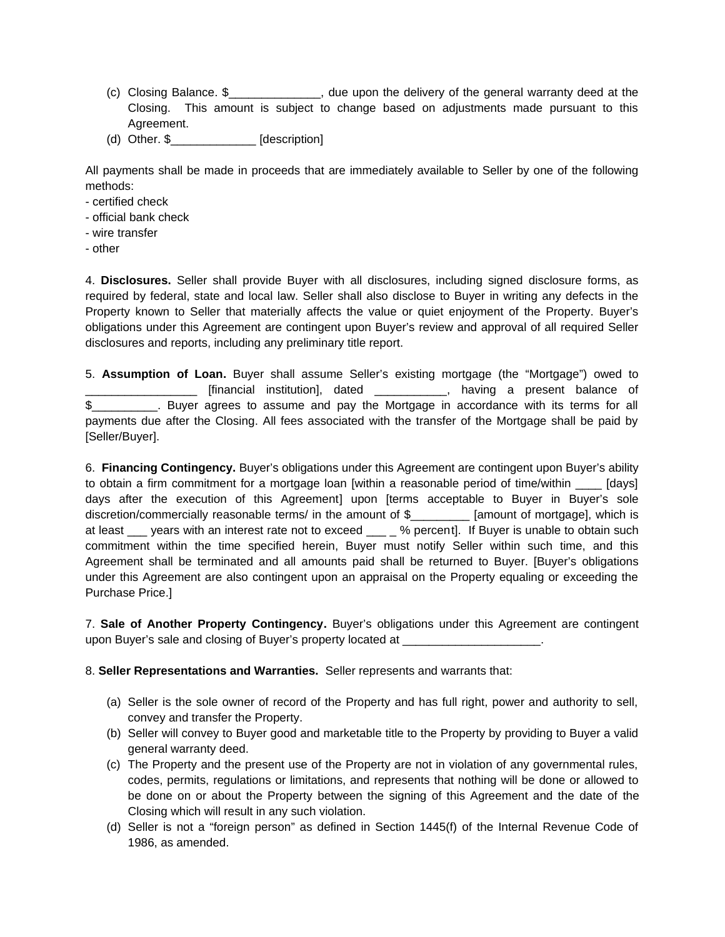- (c) Closing Balance. \$\_\_\_\_\_\_\_\_\_\_\_\_\_\_, due upon the delivery of the general warranty deed at the Closing. This amount is subject to change based on adjustments made pursuant to this Agreement.
- (d) Other. \$\_\_\_\_\_\_\_\_\_\_\_\_\_ [description]

All payments shall be made in proceeds that are immediately available to Seller by one of the following methods:

- certified check
- official bank check
- wire transfer
- other

4. **Disclosures.** Seller shall provide Buyer with all disclosures, including signed disclosure forms, as required by federal, state and local law. Seller shall also disclose to Buyer in writing any defects in the Property known to Seller that materially affects the value or quiet enjoyment of the Property. Buyer's obligations under this Agreement are contingent upon Buyer's review and approval of all required Seller disclosures and reports, including any preliminary title report.

5. **Assumption of Loan.** Buyer shall assume Seller's existing mortgage (the "Mortgage") owed to \_\_\_\_\_\_\_\_\_\_\_\_\_\_\_\_\_ [financial institution], dated \_\_\_\_\_\_\_\_\_\_\_, having a present balance of \$\_\_\_\_\_\_\_\_\_\_. Buyer agrees to assume and pay the Mortgage in accordance with its terms for all payments due after the Closing. All fees associated with the transfer of the Mortgage shall be paid by [Seller/Buyer].

6. **Financing Contingency.** Buyer's obligations under this Agreement are contingent upon Buyer's ability to obtain a firm commitment for a mortgage loan [within a reasonable period of time/within [days] days after the execution of this Agreement] upon [terms acceptable to Buyer in Buyer's sole discretion/commercially reasonable terms/ in the amount of \$ [amount of mortgage], which is at least \_\_\_ years with an interest rate not to exceed \_\_\_ \_ % percent]. If Buyer is unable to obtain such commitment within the time specified herein, Buyer must notify Seller within such time, and this Agreement shall be terminated and all amounts paid shall be returned to Buyer. [Buyer's obligations under this Agreement are also contingent upon an appraisal on the Property equaling or exceeding the Purchase Price.]

7. **Sale of Another Property Contingency.** Buyer's obligations under this Agreement are contingent upon Buyer's sale and closing of Buyer's property located at \_\_\_\_\_\_\_\_\_\_\_\_\_\_\_\_\_\_\_

8. **Seller Representations and Warranties.** Seller represents and warrants that:

- (a) Seller is the sole owner of record of the Property and has full right, power and authority to sell, convey and transfer the Property.
- (b) Seller will convey to Buyer good and marketable title to the Property by providing to Buyer a valid general warranty deed.
- (c) The Property and the present use of the Property are not in violation of any governmental rules, codes, permits, regulations or limitations, and represents that nothing will be done or allowed to be done on or about the Property between the signing of this Agreement and the date of the Closing which will result in any such violation.
- (d) Seller is not a "foreign person" as defined in Section 1445(f) of the Internal Revenue Code of 1986, as amended.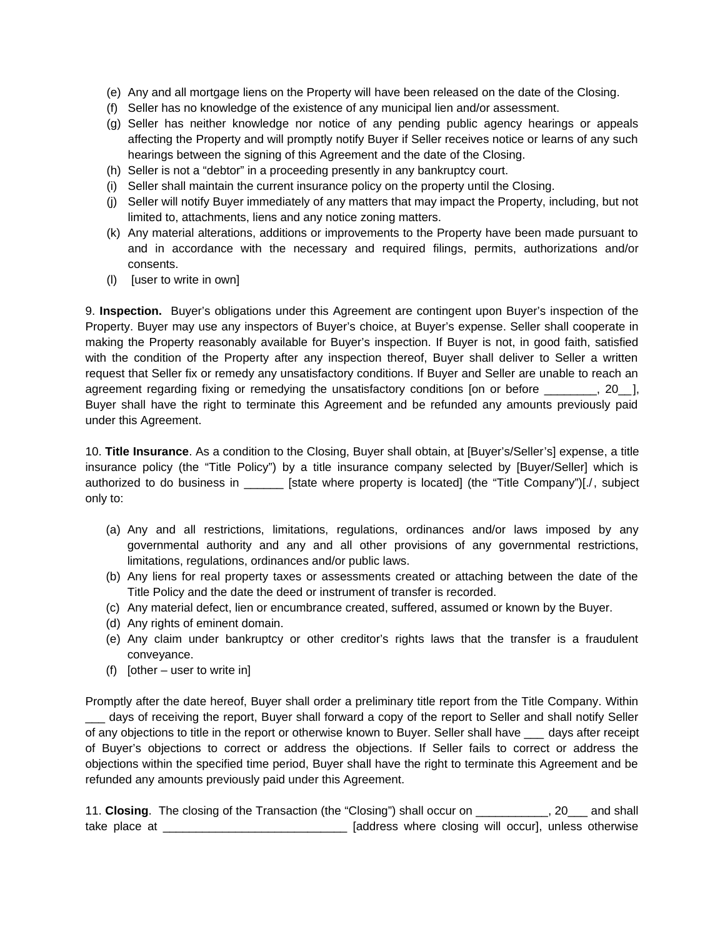- (e) Any and all mortgage liens on the Property will have been released on the date of the Closing.
- (f) Seller has no knowledge of the existence of any municipal lien and/or assessment.
- (g) Seller has neither knowledge nor notice of any pending public agency hearings or appeals affecting the Property and will promptly notify Buyer if Seller receives notice or learns of any such hearings between the signing of this Agreement and the date of the Closing.
- (h) Seller is not a "debtor" in a proceeding presently in any bankruptcy court.
- (i) Seller shall maintain the current insurance policy on the property until the Closing.
- (j) Seller will notify Buyer immediately of any matters that may impact the Property, including, but not limited to, attachments, liens and any notice zoning matters.
- (k) Any material alterations, additions or improvements to the Property have been made pursuant to and in accordance with the necessary and required filings, permits, authorizations and/or consents.
- (l) [user to write in own]

9. **Inspection.** Buyer's obligations under this Agreement are contingent upon Buyer's inspection of the Property. Buyer may use any inspectors of Buyer's choice, at Buyer's expense. Seller shall cooperate in making the Property reasonably available for Buyer's inspection. If Buyer is not, in good faith, satisfied with the condition of the Property after any inspection thereof, Buyer shall deliver to Seller a written request that Seller fix or remedy any unsatisfactory conditions. If Buyer and Seller are unable to reach an agreement regarding fixing or remedying the unsatisfactory conditions [on or before  $\qquad \qquad$ , 20 ], Buyer shall have the right to terminate this Agreement and be refunded any amounts previously paid under this Agreement.

10. **Title Insurance**. As a condition to the Closing, Buyer shall obtain, at [Buyer's/Seller's] expense, a title insurance policy (the "Title Policy") by a title insurance company selected by [Buyer/Seller] which is authorized to do business in **Example 15 [State where property is located]** (the "Title Company")[./, subject only to:

- (a) Any and all restrictions, limitations, regulations, ordinances and/or laws imposed by any governmental authority and any and all other provisions of any governmental restrictions, limitations, regulations, ordinances and/or public laws.
- (b) Any liens for real property taxes or assessments created or attaching between the date of the Title Policy and the date the deed or instrument of transfer is recorded.
- (c) Any material defect, lien or encumbrance created, suffered, assumed or known by the Buyer.
- (d) Any rights of eminent domain.
- (e) Any claim under bankruptcy or other creditor's rights laws that the transfer is a fraudulent conveyance.
- (f) [other user to write in]

Promptly after the date hereof, Buyer shall order a preliminary title report from the Title Company. Within days of receiving the report, Buyer shall forward a copy of the report to Seller and shall notify Seller of any objections to title in the report or otherwise known to Buyer. Seller shall have \_\_\_ days after receipt of Buyer's objections to correct or address the objections. If Seller fails to correct or address the objections within the specified time period, Buyer shall have the right to terminate this Agreement and be refunded any amounts previously paid under this Agreement.

11. **Closing**. The closing of the Transaction (the "Closing") shall occur on \_\_\_\_\_\_\_\_\_\_, 20\_\_\_ and shall take place at \_\_\_\_\_\_\_\_\_\_\_\_\_\_\_\_\_\_\_\_\_\_\_\_\_\_\_\_\_\_\_\_\_ [address where closing will occur], unless otherwise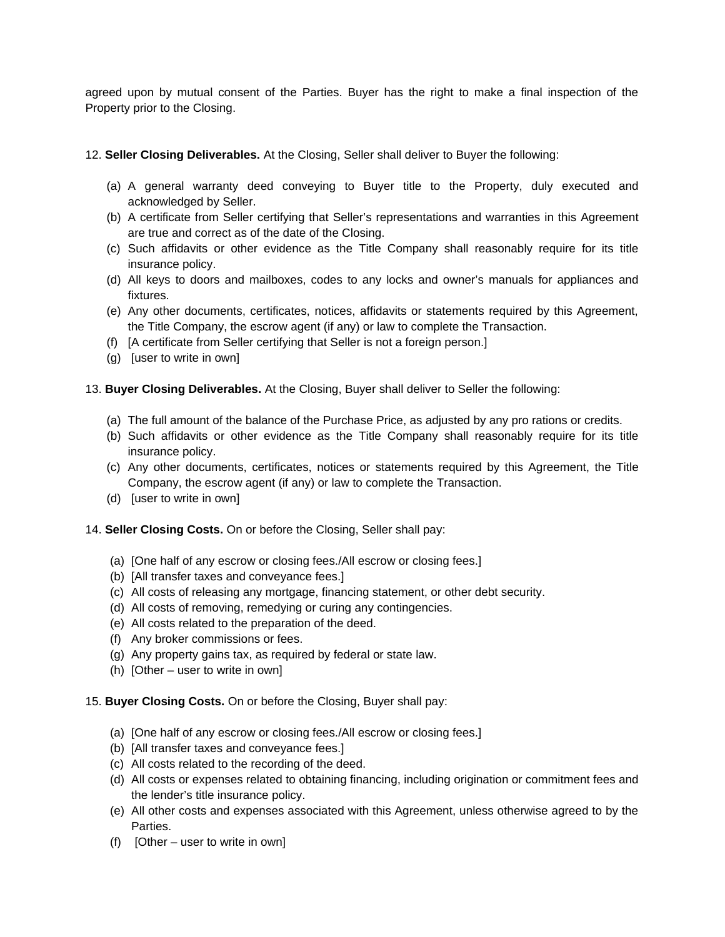agreed upon by mutual consent of the Parties. Buyer has the right to make a final inspection of the Property prior to the Closing.

# 12. **Seller Closing Deliverables.** At the Closing, Seller shall deliver to Buyer the following:

- (a) A general warranty deed conveying to Buyer title to the Property, duly executed and acknowledged by Seller.
- (b) A certificate from Seller certifying that Seller's representations and warranties in this Agreement are true and correct as of the date of the Closing.
- (c) Such affidavits or other evidence as the Title Company shall reasonably require for its title insurance policy.
- (d) All keys to doors and mailboxes, codes to any locks and owner's manuals for appliances and fixtures.
- (e) Any other documents, certificates, notices, affidavits or statements required by this Agreement, the Title Company, the escrow agent (if any) or law to complete the Transaction.
- (f) [A certificate from Seller certifying that Seller is not a foreign person.]
- (g) [user to write in own]

# 13. **Buyer Closing Deliverables.** At the Closing, Buyer shall deliver to Seller the following:

- (a) The full amount of the balance of the Purchase Price, as adjusted by any pro rations or credits.
- (b) Such affidavits or other evidence as the Title Company shall reasonably require for its title insurance policy.
- (c) Any other documents, certificates, notices or statements required by this Agreement, the Title Company, the escrow agent (if any) or law to complete the Transaction.
- (d) [user to write in own]

# 14. **Seller Closing Costs.** On or before the Closing, Seller shall pay:

- (a) [One half of any escrow or closing fees./All escrow or closing fees.]
- (b) [All transfer taxes and conveyance fees.]
- (c) All costs of releasing any mortgage, financing statement, or other debt security.
- (d) All costs of removing, remedying or curing any contingencies.
- (e) All costs related to the preparation of the deed.
- (f) Any broker commissions or fees.
- (g) Any property gains tax, as required by federal or state law.
- (h) [Other user to write in own]
- 15. **Buyer Closing Costs.** On or before the Closing, Buyer shall pay:
	- (a) [One half of any escrow or closing fees./All escrow or closing fees.]
	- (b) [All transfer taxes and conveyance fees.]
	- (c) All costs related to the recording of the deed.
	- (d) All costs or expenses related to obtaining financing, including origination or commitment fees and the lender's title insurance policy.
	- (e) All other costs and expenses associated with this Agreement, unless otherwise agreed to by the Parties.
	- (f)  $[Other user to write in own]$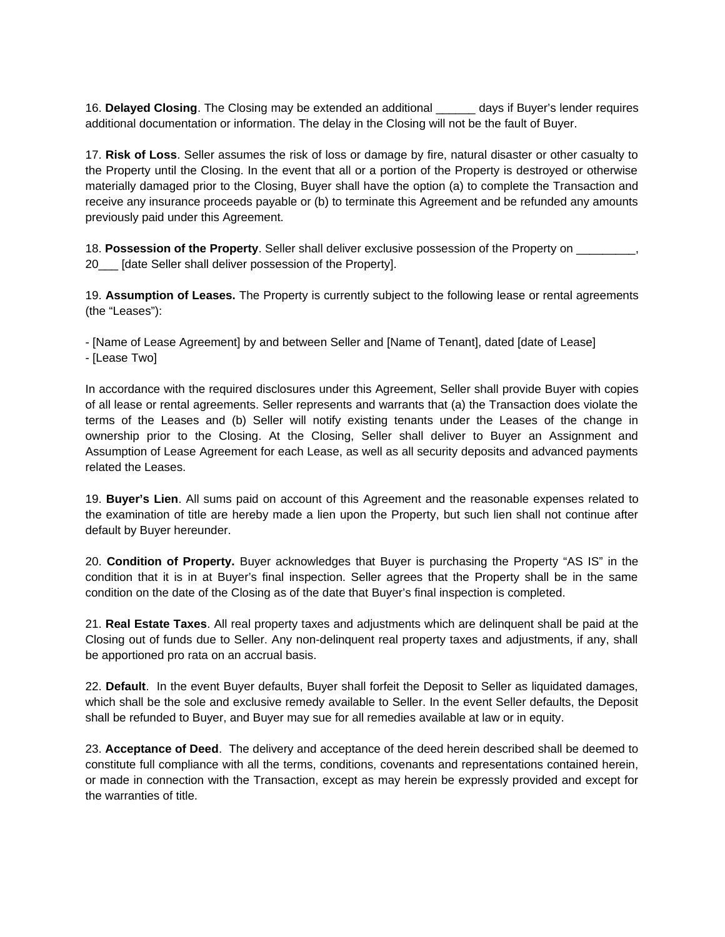16. **Delayed Closing**. The Closing may be extended an additional \_\_\_\_\_\_ days if Buyer's lender requires additional documentation or information. The delay in the Closing will not be the fault of Buyer.

17. **Risk of Loss**. Seller assumes the risk of loss or damage by fire, natural disaster or other casualty to the Property until the Closing. In the event that all or a portion of the Property is destroyed or otherwise materially damaged prior to the Closing, Buyer shall have the option (a) to complete the Transaction and receive any insurance proceeds payable or (b) to terminate this Agreement and be refunded any amounts previously paid under this Agreement.

18. **Possession of the Property**. Seller shall deliver exclusive possession of the Property on 20\_\_\_ [date Seller shall deliver possession of the Property].

19. **Assumption of Leases.** The Property is currently subject to the following lease or rental agreements (the "Leases"):

- [Name of Lease Agreement] by and between Seller and [Name of Tenant], dated [date of Lease] - [Lease Two]

In accordance with the required disclosures under this Agreement, Seller shall provide Buyer with copies of all lease or rental agreements. Seller represents and warrants that (a) the Transaction does violate the terms of the Leases and (b) Seller will notify existing tenants under the Leases of the change in ownership prior to the Closing. At the Closing, Seller shall deliver to Buyer an Assignment and Assumption of Lease Agreement for each Lease, as well as all security deposits and advanced payments related the Leases.

19. **Buyer's Lien**. All sums paid on account of this Agreement and the reasonable expenses related to the examination of title are hereby made a lien upon the Property, but such lien shall not continue after default by Buyer hereunder.

20. **Condition of Property.** Buyer acknowledges that Buyer is purchasing the Property "AS IS" in the condition that it is in at Buyer's final inspection. Seller agrees that the Property shall be in the same condition on the date of the Closing as of the date that Buyer's final inspection is completed.

21. **Real Estate Taxes**. All real property taxes and adjustments which are delinquent shall be paid at the Closing out of funds due to Seller. Any non-delinquent real property taxes and adjustments, if any, shall be apportioned pro rata on an accrual basis.

22. **Default**. In the event Buyer defaults, Buyer shall forfeit the Deposit to Seller as liquidated damages, which shall be the sole and exclusive remedy available to Seller. In the event Seller defaults, the Deposit shall be refunded to Buyer, and Buyer may sue for all remedies available at law or in equity.

23. **Acceptance of Deed**. The delivery and acceptance of the deed herein described shall be deemed to constitute full compliance with all the terms, conditions, covenants and representations contained herein, or made in connection with the Transaction, except as may herein be expressly provided and except for the warranties of title.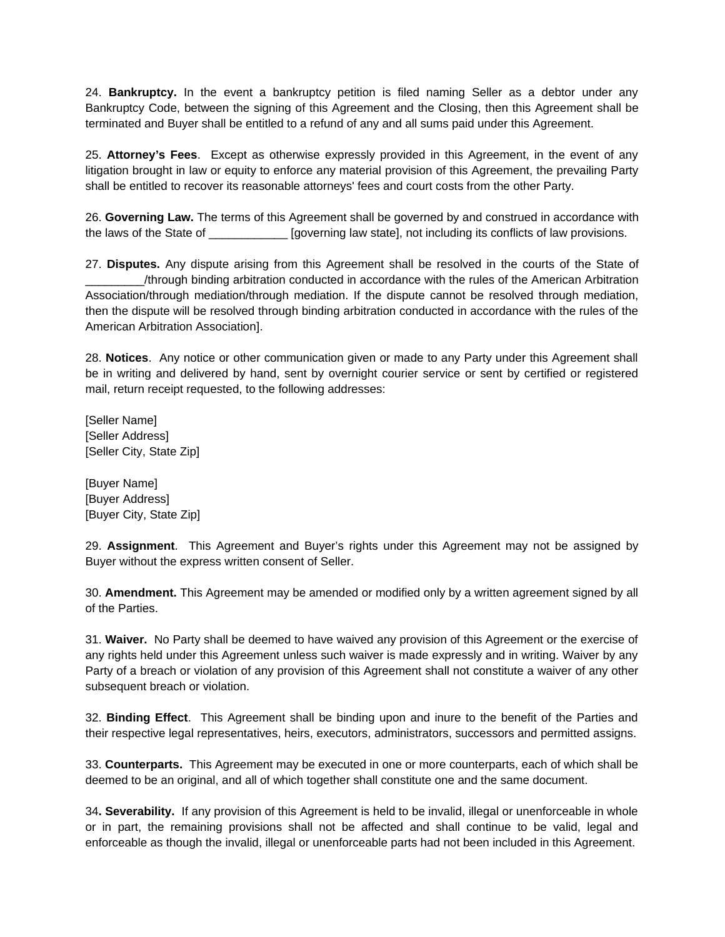24. **Bankruptcy.** In the event a bankruptcy petition is filed naming Seller as a debtor under any Bankruptcy Code, between the signing of this Agreement and the Closing, then this Agreement shall be terminated and Buyer shall be entitled to a refund of any and all sums paid under this Agreement.

25. **Attorney's Fees**. Except as otherwise expressly provided in this Agreement, in the event of any litigation brought in law or equity to enforce any material provision of this Agreement, the prevailing Party shall be entitled to recover its reasonable attorneys' fees and court costs from the other Party.

26. **Governing Law.** The terms of this Agreement shall be governed by and construed in accordance with the laws of the State of \_\_\_\_\_\_\_\_\_\_\_\_\_ [governing law state], not including its conflicts of law provisions.

27. **Disputes.** Any dispute arising from this Agreement shall be resolved in the courts of the State of \_\_\_\_\_\_\_\_\_/through binding arbitration conducted in accordance with the rules of the American Arbitration Association/through mediation/through mediation. If the dispute cannot be resolved through mediation, then the dispute will be resolved through binding arbitration conducted in accordance with the rules of the American Arbitration Association].

28. **Notices**. Any notice or other communication given or made to any Party under this Agreement shall be in writing and delivered by hand, sent by overnight courier service or sent by certified or registered mail, return receipt requested, to the following addresses:

[Seller Name] [Seller Address] [Seller City, State Zip]

[Buyer Name] [Buyer Address] [Buyer City, State Zip]

29. **Assignment**. This Agreement and Buyer's rights under this Agreement may not be assigned by Buyer without the express written consent of Seller.

30. **Amendment.** This Agreement may be amended or modified only by a written agreement signed by all of the Parties.

31. **Waiver.** No Party shall be deemed to have waived any provision of this Agreement or the exercise of any rights held under this Agreement unless such waiver is made expressly and in writing. Waiver by any Party of a breach or violation of any provision of this Agreement shall not constitute a waiver of any other subsequent breach or violation.

32. **Binding Effect**. This Agreement shall be binding upon and inure to the benefit of the Parties and their respective legal representatives, heirs, executors, administrators, successors and permitted assigns.

33. **Counterparts.** This Agreement may be executed in one or more counterparts, each of which shall be deemed to be an original, and all of which together shall constitute one and the same document.

34**. Severability.** If any provision of this Agreement is held to be invalid, illegal or unenforceable in whole or in part, the remaining provisions shall not be affected and shall continue to be valid, legal and enforceable as though the invalid, illegal or unenforceable parts had not been included in this Agreement.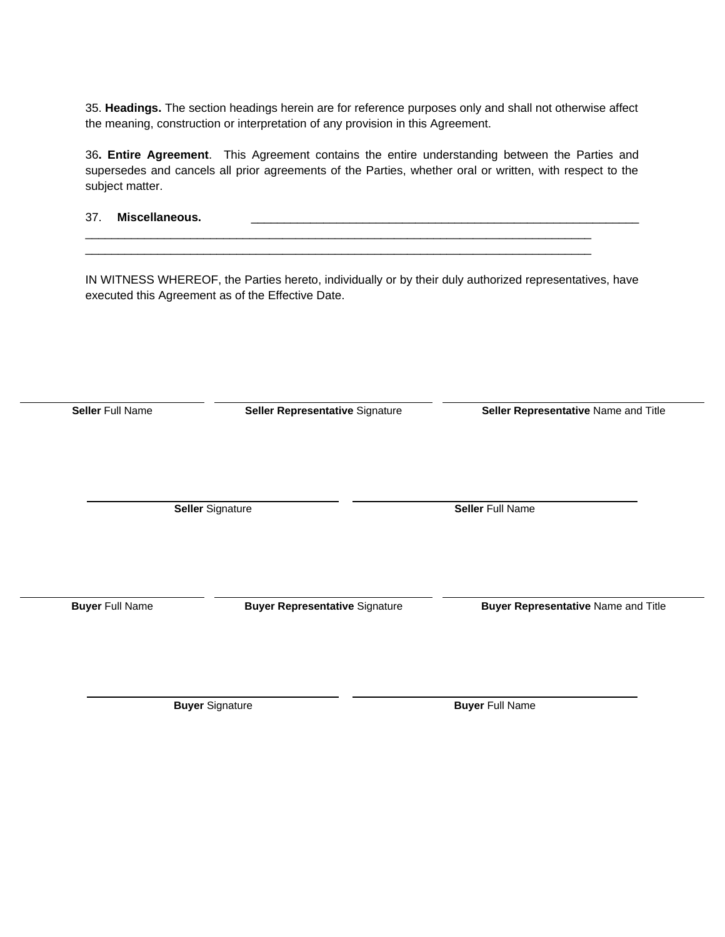35. **Headings.** The section headings herein are for reference purposes only and shall not otherwise affect the meaning, construction or interpretation of any provision in this Agreement.

36**. Entire Agreement**. This Agreement contains the entire understanding between the Parties and supersedes and cancels all prior agreements of the Parties, whether oral or written, with respect to the subject matter.

37. Miscellaneous.

IN WITNESS WHEREOF, the Parties hereto, individually or by their duly authorized representatives, have executed this Agreement as of the Effective Date.

**Seller** Full Name **Seller Representative** Signature **Seller Representative** Name and Title **Seller** Signature **Seller** Full Name **Buyer** Full Name **Buyer Representative** Signature **Buyer Representative** Name and Title

**Buyer** Signature **Buyer** Signature **Buyer** Full Name